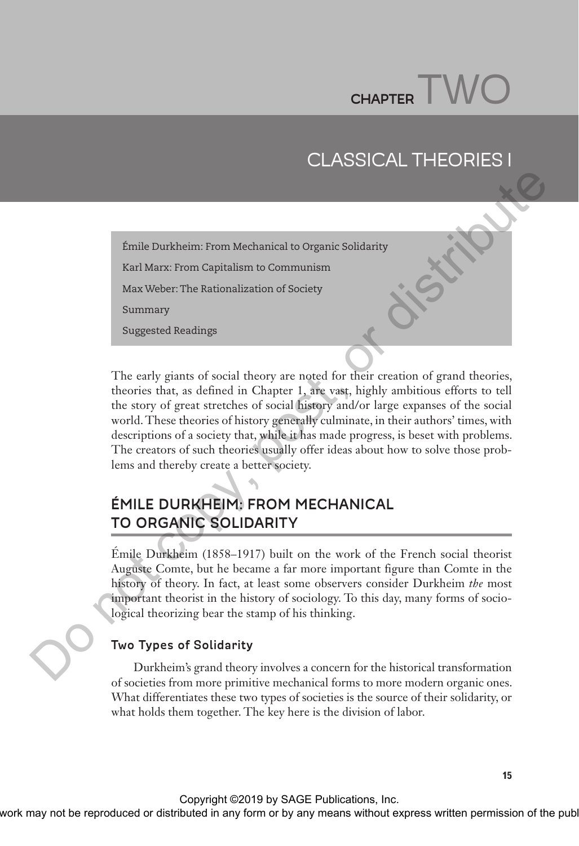# **CHAPTER WI**

## CLASSICAL THEORIES I

Émile Durkheim: From Mechanical to Organic Solidarity

Karl Marx: From Capitalism to Communism

Max Weber: The Rationalization of Society

Summary

Suggested Readings

The early giants of social theory are noted for their creation of grand theories, theories that, as defined in Chapter 1, are vast, highly ambitious efforts to tell the story of great stretches of social history and/or large expanses of the social world. These theories of history generally culminate, in their authors' times, with descriptions of a society that, while it has made progress, is beset with problems. The creators of such theories usually offer ideas about how to solve those problems and thereby create a better society. This Butchlinian From Mechanical to Corporin Sublicaty<br>
You Work Weber-The Karlsmalization or Society<br>
Summary<br>
Suggested seatings<br>
The early gians of social theory are negrel for their creation of grand theories,<br>
The pu

### **ÉMILE DURKHEIM: FROM MECHANICAL TO ORGANIC SOLIDARITY**

Émile Durkheim (1858–1917) built on the work of the French social theorist Auguste Comte, but he became a far more important figure than Comte in the history of theory. In fact, at least some observers consider Durkheim *the* most important theorist in the history of sociology. To this day, many forms of sociological theorizing bear the stamp of his thinking.

### **Two Types of Solidarity**

Durkheim's grand theory involves a concern for the historical transformation of societies from more primitive mechanical forms to more modern organic ones. What differentiates these two types of societies is the source of their solidarity, or what holds them together. The key here is the division of labor.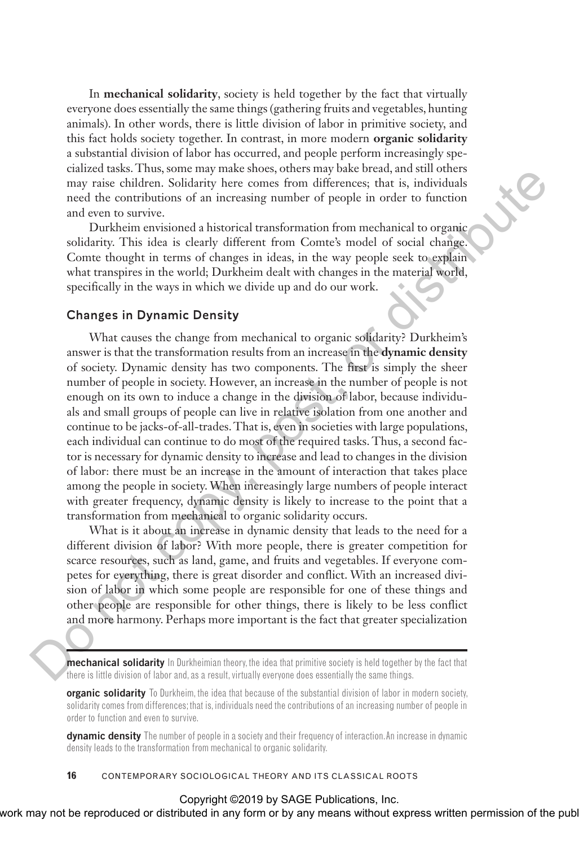In **mechanical solidarity**, society is held together by the fact that virtually everyone does essentially the same things (gathering fruits and vegetables, hunting animals). In other words, there is little division of labor in primitive society, and this fact holds society together. In contrast, in more modern **organic solidarity** a substantial division of labor has occurred, and people perform increasingly specialized tasks. Thus, some may make shoes, others may bake bread, and still others may raise children. Solidarity here comes from differences; that is, individuals need the contributions of an increasing number of people in order to function and even to survive.

Durkheim envisioned a historical transformation from mechanical to organic solidarity. This idea is clearly different from Comte's model of social change. Comte thought in terms of changes in ideas, in the way people seek to explain what transpires in the world; Durkheim dealt with changes in the material world, specifically in the ways in which we divide up and do our work.

### **Changes in Dynamic Density**

What causes the change from mechanical to organic solidarity? Durkheim's answer is that the transformation results from an increase in the **dynamic density**  of society. Dynamic density has two components. The first is simply the sheer number of people in society. However, an increase in the number of people is not enough on its own to induce a change in the division of labor, because individuals and small groups of people can live in relative isolation from one another and continue to be jacks-of-all-trades. That is, even in societies with large populations, each individual can continue to do most of the required tasks. Thus, a second factor is necessary for dynamic density to increase and lead to changes in the division of labor: there must be an increase in the amount of interaction that takes place among the people in society. When increasingly large numbers of people interact with greater frequency, dynamic density is likely to increase to the point that a transformation from mechanical to organic solidarity occurs. The representation of the rest with the rest in any form of the rest in any form or by a statistical or the rest in any form or by any means when the rest in the rest in the rest in the rest in the rest in the rest in the

What is it about an increase in dynamic density that leads to the need for a different division of labor? With more people, there is greater competition for scarce resources, such as land, game, and fruits and vegetables. If everyone competes for everything, there is great disorder and conflict. With an increased division of labor in which some people are responsible for one of these things and other people are responsible for other things, there is likely to be less conflict and more harmony. Perhaps more important is the fact that greater specialization

mechanical solidarity In Durkheimian theory, the idea that primitive society is held together by the fact that there is little division of labor and, as a result, virtually everyone does essentially the same things.

organic solidarity To Durkheim, the idea that because of the substantial division of labor in modern society, solidarity comes from differences; that is, individuals need the contributions of an increasing number of people in order to function and even to survive.

**dynamic density** The number of people in a society and their frequency of interaction. An increase in dynamic density leads to the transformation from mechanical to organic solidarity.

#### **16** CONTEMPORARY SOCIOLOGICAL THEORY AND ITS CLASSICAL ROOTS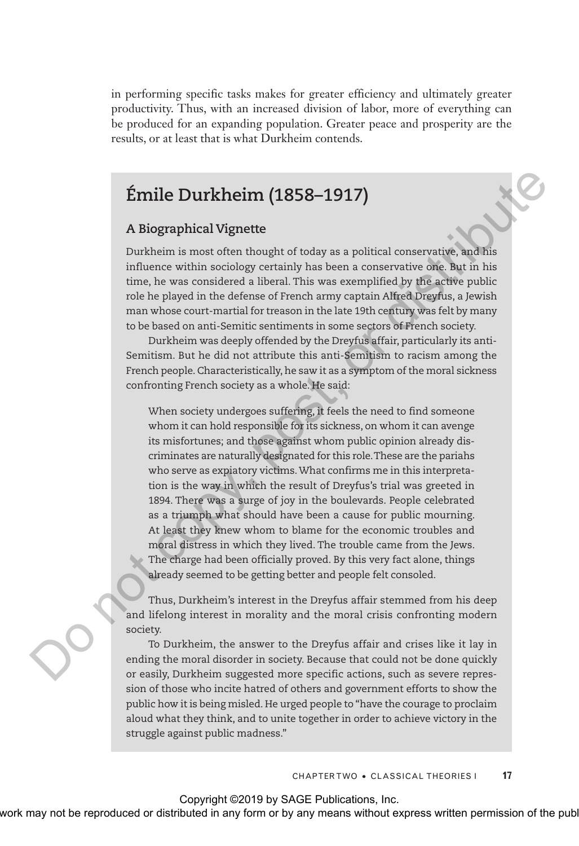in performing specific tasks makes for greater efficiency and ultimately greater productivity. Thus, with an increased division of labor, more of everything can be produced for an expanding population. Greater peace and prosperity are the results, or at least that is what Durkheim contends.

### **Émile Durkheim (1858–1917)**

### **A Biographical Vignette**

Durkheim is most often thought of today as a political conservative, and his influence within sociology certainly has been a conservative one. But in his time, he was considered a liberal. This was exemplified by the active public role he played in the defense of French army captain Alfred Dreyfus, a Jewish man whose court-martial for treason in the late 19th century was felt by many to be based on anti-Semitic sentiments in some sectors of French society.

Durkheim was deeply offended by the Dreyfus affair, particularly its anti-Semitism. But he did not attribute this anti-Semitism to racism among the French people. Characteristically, he saw it as a symptom of the moral sickness confronting French society as a whole. He said:

When society undergoes suffering, it feels the need to find someone whom it can hold responsible for its sickness, on whom it can avenge its misfortunes; and those against whom public opinion already discriminates are naturally designated for this role. These are the pariahs who serve as expiatory victims. What confirms me in this interpretation is the way in which the result of Dreyfus's trial was greeted in 1894. There was a surge of joy in the boulevards. People celebrated as a triumph what should have been a cause for public mourning. At least they knew whom to blame for the economic troubles and moral distress in which they lived. The trouble came from the Jews. The charge had been officially proved. By this very fact alone, things already seemed to be getting better and people felt consoled. **EXAMPEL STATE (1858-1917)**<br>
A Riographical Vignette<br>
cubrisms within another of evaluation in a beat a political conservation, which<br>
indicates within a beat a conservation of the public<br>
indicates within a beat a conser

Thus, Durkheim's interest in the Dreyfus affair stemmed from his deep and lifelong interest in morality and the moral crisis confronting modern society.

To Durkheim, the answer to the Dreyfus affair and crises like it lay in ending the moral disorder in society. Because that could not be done quickly or easily, Durkheim suggested more specific actions, such as severe repression of those who incite hatred of others and government efforts to show the public how it is being misled. He urged people to "have the courage to proclaim aloud what they think, and to unite together in order to achieve victory in the struggle against public madness."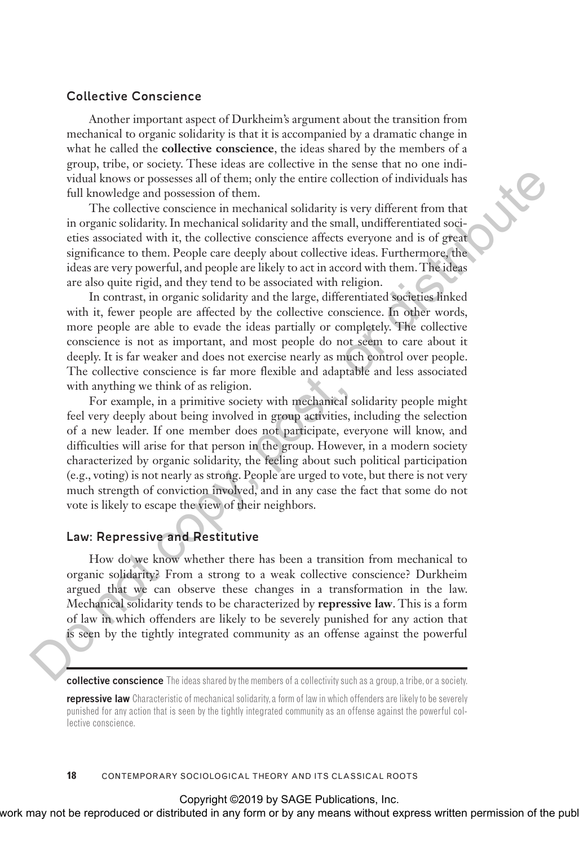### **Collective Conscience**

Another important aspect of Durkheim's argument about the transition from mechanical to organic solidarity is that it is accompanied by a dramatic change in what he called the **collective conscience**, the ideas shared by the members of a group, tribe, or society. These ideas are collective in the sense that no one individual knows or possesses all of them; only the entire collection of individuals has full knowledge and possession of them.

The collective conscience in mechanical solidarity is very different from that in organic solidarity. In mechanical solidarity and the small, undifferentiated societies associated with it, the collective conscience affects everyone and is of great significance to them. People care deeply about collective ideas. Furthermore, the ideas are very powerful, and people are likely to act in accord with them. The ideas are also quite rigid, and they tend to be associated with religion.

In contrast, in organic solidarity and the large, differentiated societies linked with it, fewer people are affected by the collective conscience. In other words, more people are able to evade the ideas partially or completely. The collective conscience is not as important, and most people do not seem to care about it deeply. It is far weaker and does not exercise nearly as much control over people. The collective conscience is far more flexible and adaptable and less associated with anything we think of as religion.

For example, in a primitive society with mechanical solidarity people might feel very deeply about being involved in group activities, including the selection of a new leader. If one member does not participate, everyone will know, and difficulties will arise for that person in the group. However, in a modern society characterized by organic solidarity, the feeling about such political participation (e.g., voting) is not nearly as strong. People are urged to vote, but there is not very much strength of conviction involved, and in any case the fact that some do not vote is likely to escape the view of their neighbors. visital have a consense all of them or distributed in a state of the relation of the relation or the coleristic consenses with the relation of the publisher of the publisher is experimented to the publisher from the publi

### **Law: Repressive and Restitutive**

How do we know whether there has been a transition from mechanical to organic solidarity? From a strong to a weak collective conscience? Durkheim argued that we can observe these changes in a transformation in the law. Mechanical solidarity tends to be characterized by **repressive law**. This is a form of law in which offenders are likely to be severely punished for any action that is seen by the tightly integrated community as an offense against the powerful

collective conscience The ideas shared by the members of a collectivity such as a group, a tribe, or a society.

repressive law Characteristic of mechanical solidarity, a form of law in which offenders are likely to be severely punished for any action that is seen by the tightly integrated community as an offense against the powerful collective conscience.

**18** CONTEMPORARY SOCIOLOGICAL THEORY AND ITS CLASSICAL ROOTS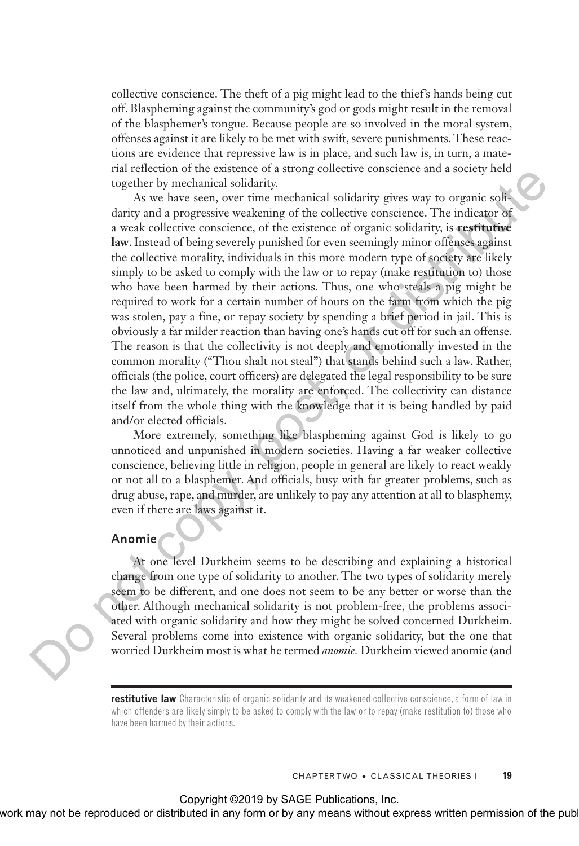collective conscience. The theft of a pig might lead to the thief's hands being cut off. Blaspheming against the community's god or gods might result in the removal of the blasphemer's tongue. Because people are so involved in the moral system, offenses against it are likely to be met with swift, severe punishments. These reactions are evidence that repressive law is in place, and such law is, in turn, a material reflection of the existence of a strong collective conscience and a society held together by mechanical solidarity.

As we have seen, over time mechanical solidarity gives way to organic solidarity and a progressive weakening of the collective conscience. The indicator of a weak collective conscience, of the existence of organic solidarity, is **restitutive law**. Instead of being severely punished for even seemingly minor offenses against the collective morality, individuals in this more modern type of society are likely simply to be asked to comply with the law or to repay (make restitution to) those who have been harmed by their actions. Thus, one who steals a pig might be required to work for a certain number of hours on the farm from which the pig was stolen, pay a fine, or repay society by spending a brief period in jail. This is obviously a far milder reaction than having one's hands cut off for such an offense. The reason is that the collectivity is not deeply and emotionally invested in the common morality ("Thou shalt not steal") that stands behind such a law. Rather, officials (the police, court officers) are delegated the legal responsibility to be sure the law and, ultimately, the morality are enforced. The collectivity can distance itself from the whole thing with the knowledge that it is being handled by paid and/or elected officials. The control of the repression of the state of the relation of the state or distributed in a properties with a pure the collective constants with the publisher of the collective constants of the collective constants. Thus,

More extremely, something like blaspheming against God is likely to go unnoticed and unpunished in modern societies. Having a far weaker collective conscience, believing little in religion, people in general are likely to react weakly or not all to a blasphemer. And officials, busy with far greater problems, such as drug abuse, rape, and murder, are unlikely to pay any attention at all to blasphemy, even if there are laws against it.

### **Anomie**

At one level Durkheim seems to be describing and explaining a historical change from one type of solidarity to another. The two types of solidarity merely seem to be different, and one does not seem to be any better or worse than the other. Although mechanical solidarity is not problem-free, the problems associated with organic solidarity and how they might be solved concerned Durkheim. Several problems come into existence with organic solidarity, but the one that worried Durkheim most is what he termed *anomie.* Durkheim viewed anomie (and

restitutive law Characteristic of organic solidarity and its weakened collective conscience, a form of law in which offenders are likely simply to be asked to comply with the law or to repay (make restitution to) those who have been harmed by their actions.